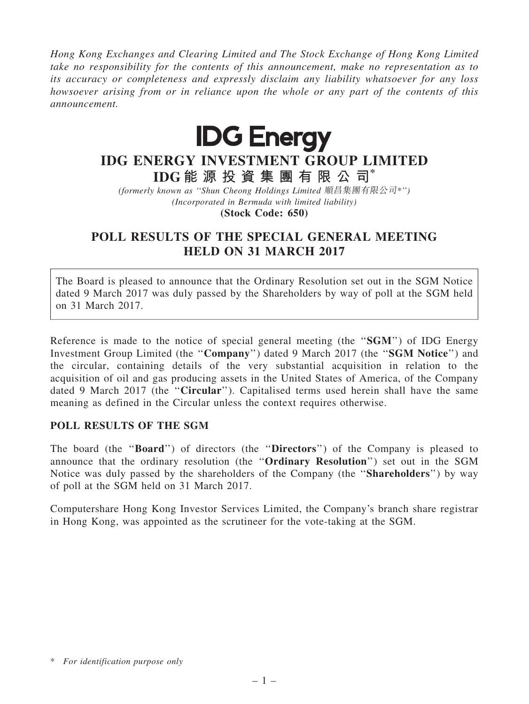Hong Kong Exchanges and Clearing Limited and The Stock Exchange of Hong Kong Limited take no responsibility for the contents of this announcement, make no representation as to its accuracy or completeness and expressly disclaim any liability whatsoever for any loss howsoever arising from or in reliance upon the whole or any part of the contents of this announcement.



## IDG ENERGY INVESTMENT GROUP LIMITED IDG 能 源 投 資 集 團 有 限 公 司\*

(formerly known as ''Shun Cheong Holdings Limited 順昌集團有限公司\*'') (Incorporated in Bermuda with limited liability)

(Stock Code: 650)

## POLL RESULTS OF THE SPECIAL GENERAL MEETING HELD ON 31 MARCH 2017

The Board is pleased to announce that the Ordinary Resolution set out in the SGM Notice dated 9 March 2017 was duly passed by the Shareholders by way of poll at the SGM held on 31 March 2017.

Reference is made to the notice of special general meeting (the "SGM") of IDG Energy Investment Group Limited (the ''Company'') dated 9 March 2017 (the ''SGM Notice'') and the circular, containing details of the very substantial acquisition in relation to the acquisition of oil and gas producing assets in the United States of America, of the Company dated 9 March 2017 (the "Circular"). Capitalised terms used herein shall have the same meaning as defined in the Circular unless the context requires otherwise.

## POLL RESULTS OF THE SGM

The board (the "Board") of directors (the "Directors") of the Company is pleased to announce that the ordinary resolution (the ''Ordinary Resolution'') set out in the SGM Notice was duly passed by the shareholders of the Company (the ''Shareholders'') by way of poll at the SGM held on 31 March 2017.

Computershare Hong Kong Investor Services Limited, the Company's branch share registrar in Hong Kong, was appointed as the scrutineer for the vote-taking at the SGM.

<sup>\*</sup> For identification purpose only